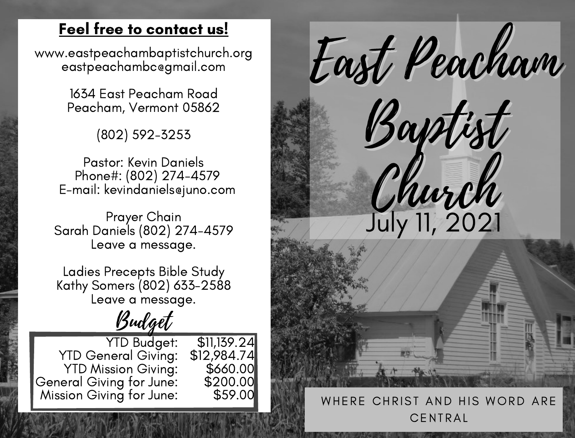### Feel free to contact us!

www.eastpeachambaptistchurch.org eastpeachambc@gmail.com

> 1634 East Peacham Road Peacham, Vermont 05862

> > (802) 592-3253

Pastor: Kevin Daniels Phone#: (802) 274-4579 E-mail: kevindaniels@juno.com

Prayer Chain Sarah Daniels (802) 274-4579 Leave a message.

Ladies Precepts Bible Study Kathy Somers (802) 633-2588 Leave a message.

Budget

YTD Budget: YTD General Giving: YTD Mission Giving: General Giving for June: Mission Giving for June: \$11,139.24 \$12,984.74 \$660.00 \$200.00 \$59.00



### WHERE CHRIST AND HIS WORD ARE **CENTRAL**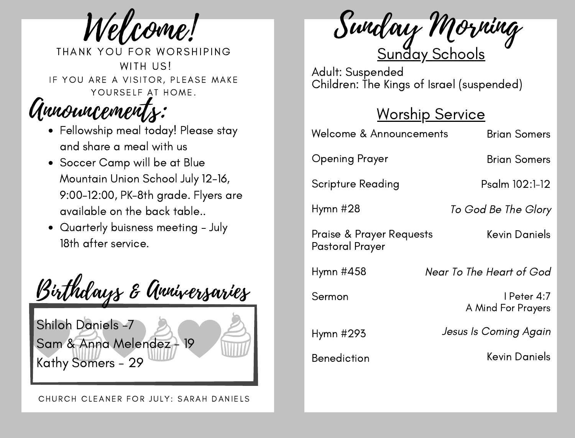Welcome!

THANK YOU FOR WORSHIPING WITH US! IF YOU ARE A VISITOR, PLEASE MAKE YOURSELF AT HOME.

# Announcements:

- Fellowship meal today! Please stay and share a meal with us
- Soccer Camp will be at Blue Mountain Union School July 12-16, 9:00-12:00, PK-8th grade. Flyers are available on the back table..
- Quarterly buisness meeting July 18th after service.



<u>Sunday Schools</u> Sunday Morning

Adult: Suspended Children: The Kings of Israel (suspended)

## Worship Service

| Welcome & Announcements                                | <b>Brian Somers</b>               |
|--------------------------------------------------------|-----------------------------------|
| Opening Prayer                                         | <b>Brian Somers</b>               |
| Scripture Reading                                      | Psalm 102:1-12                    |
| Hymn #28                                               | To God Be The Glory               |
| <b>Praise &amp; Prayer Requests</b><br>Pastoral Prayer | Kevin Daniels                     |
| Hymn #458                                              | Near To The Heart of God          |
| Sermon                                                 | l Peter 4:7<br>A Mind For Prayers |
| Hymn #293                                              | Jesus Is Coming Again             |
| <b>Benediction</b>                                     | Kevin Daniels                     |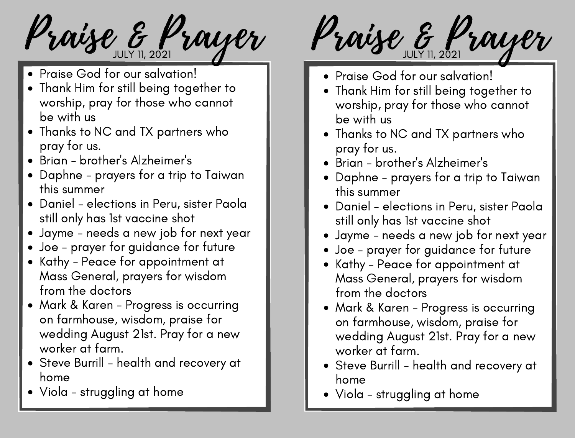- Praise God for our salvation!
- Thank Him for still being together to worship, pray for those who cannot be with us
- Thanks to NC and TX partners who pray for us.
- Brian brother's Alzheimer's
- Daphne prayers for a trip to Taiwan this summer
- Daniel elections in Peru, sister Paola still only has 1st vaccine shot
- Jayme needs a new job for next year
- Joe prayer for guidance for future
- Kathy Peace for appointment at Mass General, prayers for wisdom from the doctors
- Mark & Karen Progress is occurring on farmhouse, wisdom, praise for wedding August 21st. Pray for a new worker at farm.
- Steve Burrill health and recovery at home
- Viola struggling at home

Praise & Prayer Praise & Prayer

- Praise God for our salvation!
- Thank Him for still being together to worship, pray for those who cannot be with us
- Thanks to NC and TX partners who pray for us.
- Brian brother's Alzheimer's
- Daphne prayers for a trip to Taiwan this summer
- Daniel elections in Peru, sister Paola still only has 1st vaccine shot
- Jayme needs a new job for next year
- Joe prayer for guidance for future
- Kathy Peace for appointment at Mass General, prayers for wisdom from the doctors
- Mark & Karen Progress is occurring on farmhouse, wisdom, praise for wedding August 21st. Pray for a new worker at farm.
- Steve Burrill health and recovery at home
- Viola struggling at home